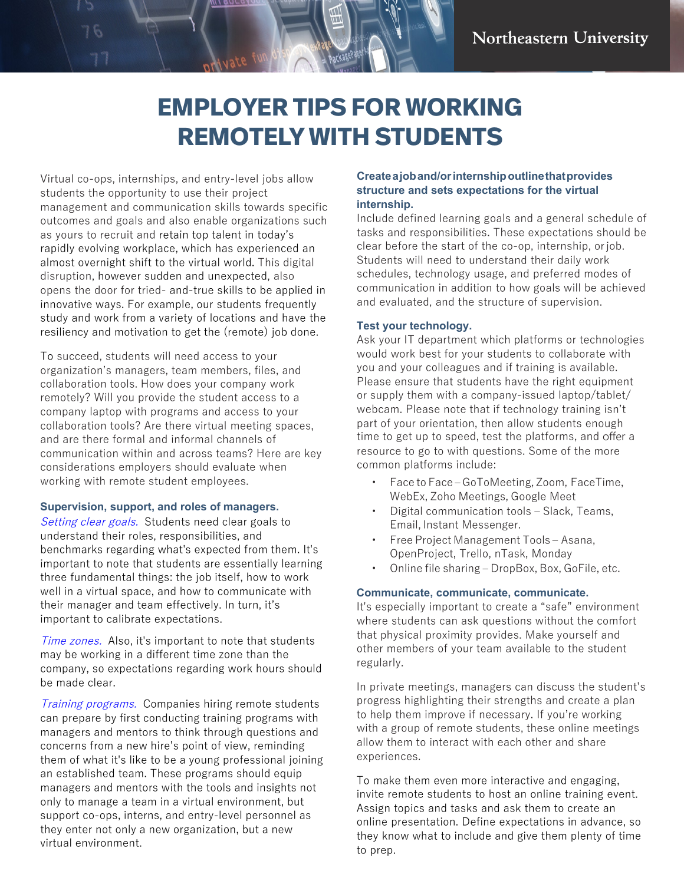# **EMPLOYER TIPS FOR WORKING REMOTELY WITH STUDENTS**

Virtual co-ops, internships, and entry-level jobs allow students the opportunity to use their project management and communication skills towards specific outcomes and goals and also enable organizations such as yours to recruit and retain top talent in today's rapidly evolving workplace, which has experienced an almost overnight shift to the virtual world. This digital disruption, however sudden and unexpected, also opens the door for tried- and-true skills to be applied in innovative ways. For example, our students frequently study and work from a variety of locations and have the resiliency and motivation to get the (remote) job done.

1100<u>ra</u>

To succeed, students will need access to your organization's managers, team members, files, and collaboration tools. How does your company work remotely? Will you provide the student access to a company laptop with programs and access to your collaboration tools? Are there virtual meeting spaces, and are there formal and informal channels of communication within and across teams? Here are key considerations employers should evaluate when working with remote student employees.

#### **Supervision, support, and roles of managers.**

Setting clear goals. Students need clear goals to understand their roles, responsibilities, and benchmarks regarding what's expected from them. It's important to note that students are essentially learning three fundamental things: the job itself, how to work well in a virtual space, and how to communicate with their manager and team effectively. In turn, it's important to calibrate expectations.

Time zones. Also, it's important to note that students may be working in a different time zone than the company, so expectations regarding work hours should be made clear.

Training programs. Companies hiring remote students can prepare by first conducting training programs with managers and mentors to think through questions and concerns from a new hire's point of view, reminding them of what it's like to be a young professional joining an established team. These programs should equip managers and mentors with the tools and insights not only to manage a team in a virtual environment, but support co-ops, interns, and entry-level personnel as they enter not only a new organization, but a new virtual environment.

## **Create a job and/or internship outline that provides structure and sets expectations for the virtual internship.**

Include defined learning goals and a general schedule of tasks and responsibilities. These expectations should be clear before the start of the co-op, internship, or job. Students will need to understand their daily work schedules, technology usage, and preferred modes of communication in addition to how goals will be achieved and evaluated, and the structure of supervision.

## **Test your technology.**

Ask your IT department which platforms or technologies would work best for your students to collaborate with you and your colleagues and if training is available. Please ensure that students have the right equipment or supply them with a company-issued laptop/tablet/ webcam. Please note that if technology training isn't part of your orientation, then allow students enough time to get up to speed, test the platforms, and offer a resource to go to with questions. Some of the more common platforms include:

- Face to Face GoToMeeting, Zoom, FaceTime, WebEx, Zoho Meetings, Google Meet
- Digital communication tools Slack, Teams, Email, Instant Messenger.
- Free Project Management Tools Asana, OpenProject, Trello, nTask, Monday
- Online file sharing DropBox, Box, GoFile, etc.

## **Communicate, communicate, communicate.**

It's especially important to create a "safe" environment where students can ask questions without the comfort that physical proximity provides. Make yourself and other members of your team available to the student regularly.

In private meetings, managers can discuss the student's progress highlighting their strengths and create a plan to help them improve if necessary. If you're working with a group of remote students, these online meetings allow them to interact with each other and share experiences.

To make them even more interactive and engaging, invite remote students to host an online training event. Assign topics and tasks and ask them to create an online presentation. Define expectations in advance, so they know what to include and give them plenty of time to prep.